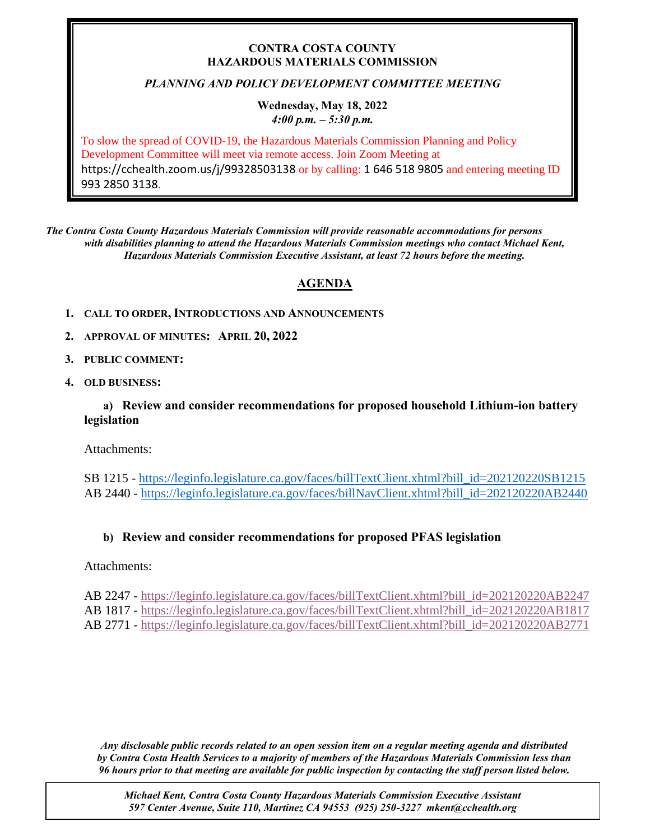### **CONTRA COSTA COUNTY HAZARDOUS MATERIALS COMMISSION**

# *PLANNING AND POLICY DEVELOPMENT COMMITTEE MEETING*

#### **Wednesday, May 18, 2022** *4:00 p.m. – 5:30 p.m.*

To slow the spread of COVID-19, the Hazardous Materials Commission Planning and Policy Development Committee will meet via remote access. Join Zoom Meeting at https://cchealth.zoom.us/j/99328503138 or by calling: 1 646 518 9805 and entering meeting ID 993 2850 3138.

*The Contra Costa County Hazardous Materials Commission will provide reasonable accommodations for persons with disabilities planning to attend the Hazardous Materials Commission meetings who contact Michael Kent, Hazardous Materials Commission Executive Assistant, at least 72 hours before the meeting.*

# **AGENDA**

- **1. CALL TO ORDER, INTRODUCTIONS AND ANNOUNCEMENTS**
- **2. APPROVAL OF MINUTES: APRIL 20, 2022**
- **3. PUBLIC COMMENT:**
- **4. OLD BUSINESS:**

**a) Review and consider recommendations for proposed household Lithium-ion battery legislation**

Attachments:

SB 1215 - [https://leginfo.legislature.ca.gov/faces/billTextClient.xhtml?bill\\_id=202120220SB1215](https://leginfo.legislature.ca.gov/faces/billTextClient.xhtml?bill_id=202120220SB1215) AB 2440 - [https://leginfo.legislature.ca.gov/faces/billNavClient.xhtml?bill\\_id=202120220AB2440](https://leginfo.legislature.ca.gov/faces/billNavClient.xhtml?bill_id=202120220AB2440)

# **b) Review and consider recommendations for proposed PFAS legislation**

Attachments:

- AB 2247 [https://leginfo.legislature.ca.gov/faces/billTextClient.xhtml?bill\\_id=202120220AB2247](https://leginfo.legislature.ca.gov/faces/billTextClient.xhtml?bill_id=202120220AB2247) AB 1817 - [https://leginfo.legislature.ca.gov/faces/billTextClient.xhtml?bill\\_id=202120220AB1817](https://leginfo.legislature.ca.gov/faces/billTextClient.xhtml?bill_id=202120220AB1817)
- AB 2771 [https://leginfo.legislature.ca.gov/faces/billTextClient.xhtml?bill\\_id=202120220AB2771](https://leginfo.legislature.ca.gov/faces/billTextClient.xhtml?bill_id=202120220AB2771)

*Any disclosable public records related to an open session item on a regular meeting agenda and distributed by Contra Costa Health Services to a majority of members of the Hazardous Materials Commission less than 96 hours prior to that meeting are available for public inspection by contacting the staff person listed below.* 

*Michael Kent, Contra Costa County Hazardous Materials Commission Executive Assistant 597 Center Avenue, Suite 110, Martinez CA 94553 (925) 250-3227 mkent@cchealth.org*